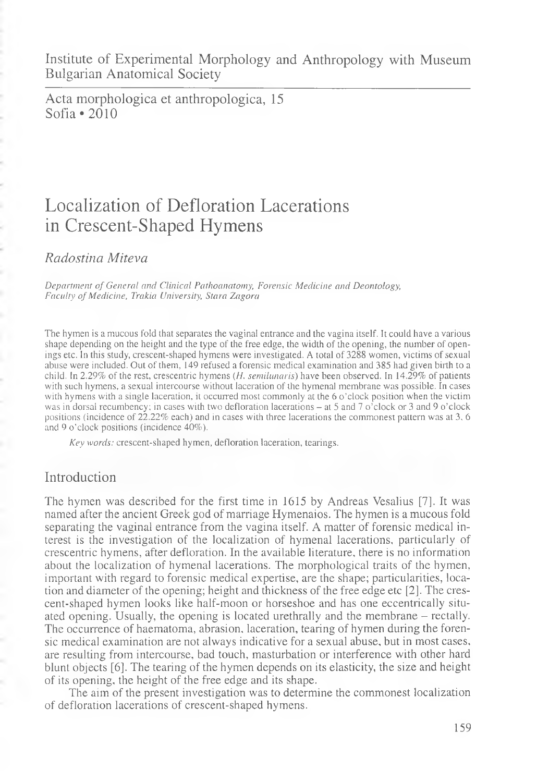Institute of Experimental Morphology and Anthropology with Museum Bulgarian Anatomical Society

Acta morphologica et anthropologica, 15 Sofia \*2010

# Localization of Defloration Lacerations in Crescent-Shaped Hymens

*Rcidostina Miteva*

*Department of General and Clinical Pathoanatomy, Forensic Medicine and Deontology, Faculty of Medicine, Trakia University, Stara Zagora*

The hymen is a mucous fold that separates the vaginal entrance and the vagina itself. It could have a various shape depending on the height and the type of the free edge, the width of the opening, the number of openings etc. In this study, crescent-shaped hymens were investigated. A total of 3288 women, victims of sexual abuse were included. Out of them, 149 refused a forensic medical examination and 385 had given birth to a child. In 2.29% of the rest, crescentric hymens (*H. semilunaris)* have been observed. In 14.29% of patients with such hymens, a sexual intercourse without laceration of the hymenal membrane was possible. In cases with hymens with a single laceration, it occurred most commonly at the 6 o'clock position when the victim was in dorsal recumbency; in cases with two defloration lacerations – at 5 and 7 o'clock or 3 and 9 o'clock positions (incidence of 22.22% each) and in cases with three lacerations the commonest pattern was at 3, 6 and 9 o'clock positions (incidence 40%).

*Key words:* crescent-shaped hymen, defloration laceration, tearings.

### Introduction

The hymen was described for the first time in 1615 by Andreas Vesalius [7]. It was named after the ancient Greek god of marriage Hymenaios. The hymen is a mucous fold separating the vaginal entrance from the vagina itself. A matter of forensic medical interest is the investigation of the localization of hymenal lacerations, particularly of crescentric hymens, after defloration. In the available literature, there is no information about the localization of hymenal lacerations. The morphological traits of the hymen, important with regard to forensic medical expertise, are the shape; particularities, location and diameter of the opening; height and thickness of the free edge etc [2]. The crescent-shaped hymen looks like half-moon or horseshoe and has one eccentrically situated opening. Usually, the opening is located urethrally and the membrane - rectally. The occurrence of haematoma, abrasion, laceration, tearing of hymen during the forensic medical examination are not always indicative for a sexual abuse, but in most cases, are resulting from intercourse, bad touch, masturbation or interference with other hard blunt objects [6]. The tearing of the hymen depends on its elasticity, the size and height of its opening, the height of the free edge and its shape.

The aim of the present investigation was to determine the commonest localization of defloration lacerations of crescent-shaped hymens.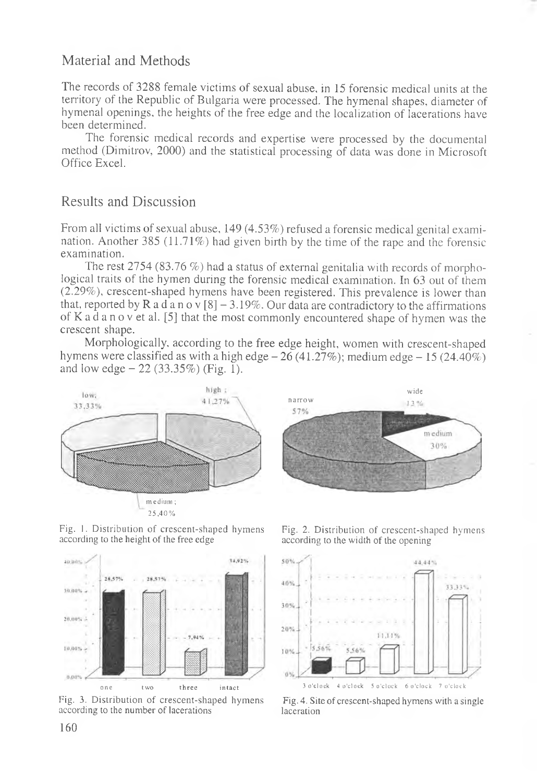## Material and Methods

The records of 3288 female victims of sexual abuse, in 15 forensic medical units at the territory of the Republic of Bulgaria were processed. The hymenal shapes, diameter of hymenal openings, the heights of the free edge and the localization of lacerations have been determined.

The forensic medical records and expertise were processed by the documental method (Dimitrov, 2000) and the statistical processing of data was done in Microsoft Office Excel.

## Results and Discussion

From all victims of sexual abuse, 149 (4.53%) refused a forensic medical genital examination. Another 385 (11.71%) had given birth by the time of the rape and the forensic examination.

The rest 2754 (83.76  $%$ ) had a status of external genitalia with records of morphological traits of the hymen during the forensic medical examination. In 63 out of them (2.29%), crescent-shaped hymens have been registered. This prevalence is lower than that, reported by R a d a n o v  $\lceil 8 \rceil - 3.19\%$ . Our data are contradictory to the affirmations of K a d a n o v et al. [5] that the most commonly encountered shape of hymen was the crescent shape.

Morphologically, according to the free edge height, women with crescent-shaped hymens were classified as with a high edge  $-26(41.27\%)$ ; medium edge  $-15(24.40\%)$ and low edge  $-22$  (33.35%) (Fig. 1).





Fig. 1. Distribution of crescent-shaped hymens according to the height of the free edge



Fig. 3. Distribution of crescent-shaped hymens according to the number of lacerations

Fig. 2. Distribution of crescent-shaped hymens according to the width of the opening



Fig. 4. Site of crescent-shaped hymens with a single laceration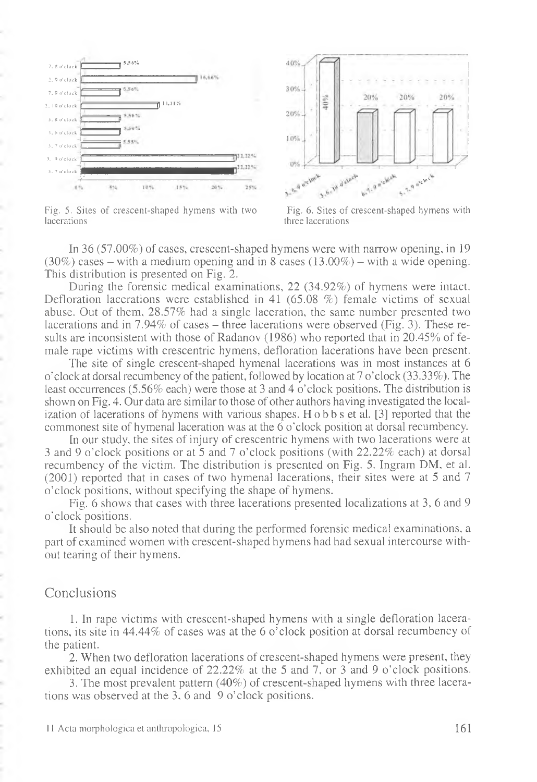

Fig. 5. Sites of crescent-shaped hymens with two Fig. 6. Sites of crescent-shaped hymens with lacerations three lacerations



three lacerations

In 36 (57.00%) of cases, crescent-shaped hymens were with narrow opening, in 19  $(30\%)$  cases – with a medium opening and in 8 cases  $(13.00\%)$  – with a wide opening. This distribution is presented on Fig. 2.

During the forensic medical examinations, 22 (34.92%) of hymens were intact. Defloration lacerations were established in 41 (65.08 %) female victims of sexual abuse. Out of them, 28.57% had a single laceration, the same number presented two lacerations and in  $7.94\%$  of cases – three lacerations were observed (Fig. 3). These results are inconsistent with those of Radanov (1986) who reported that in 20.45% of female rape victims with crescentric hymens, defloration lacerations have been present.

The site of single crescent-shaped hymenal lacerations was in most instances at 6 o'clock at dorsal recumbency of the patient, followed by location at 7 o'clock (33.33%). The least occurrences (5.56% each) were those at 3 and 4 o'clock positions. The distribution is shown on Fig. 4. Our data are similar to those of other authors having investigated the localization of lacerations of hymens with various shapes. H o b b s et al. [3] reported that the commonest site of hymenal laceration was at the 6 o'clock position at dorsal recumbency.

In our study, the sites of injury of crescentric hymens with two lacerations were at 3 and 9 o'clock positions or at 5 and 7 o'clock positions (with 22.22% each) at dorsal recumbency of the victim. The distribution is presented on Fig. 5. Ingram DM, et al. (2001) reported that in cases of two hymenal lacerations, their sites were at 5 and 7 o'clock positions, without specifying the shape of hymens.

Fig. 6 shows that cases with three lacerations presented localizations at 3, 6 and 9 o'clock positions.

It should be also noted that during the performed forensic medical examinations, a part of examined women with crescent-shaped hymens had had sexual intercourse without tearing of their hymens.

#### Conclusions

1. In rape victims with crescent-shaped hymens with a single defloration lacerations, its site in 44.44% of cases was at the 6 o'clock position at dorsal recumbency of the patient.

2. When two defloration lacerations of crescent-shaped hymens were present, they exhibited an equal incidence of 22.22% at the 5 and 7, or 3 and 9 o'clock positions.

3. The most prevalent pattern (40%) of crescent-shaped hymens with three lacerations was observed at the 3, 6 and 9 o'clock positions.